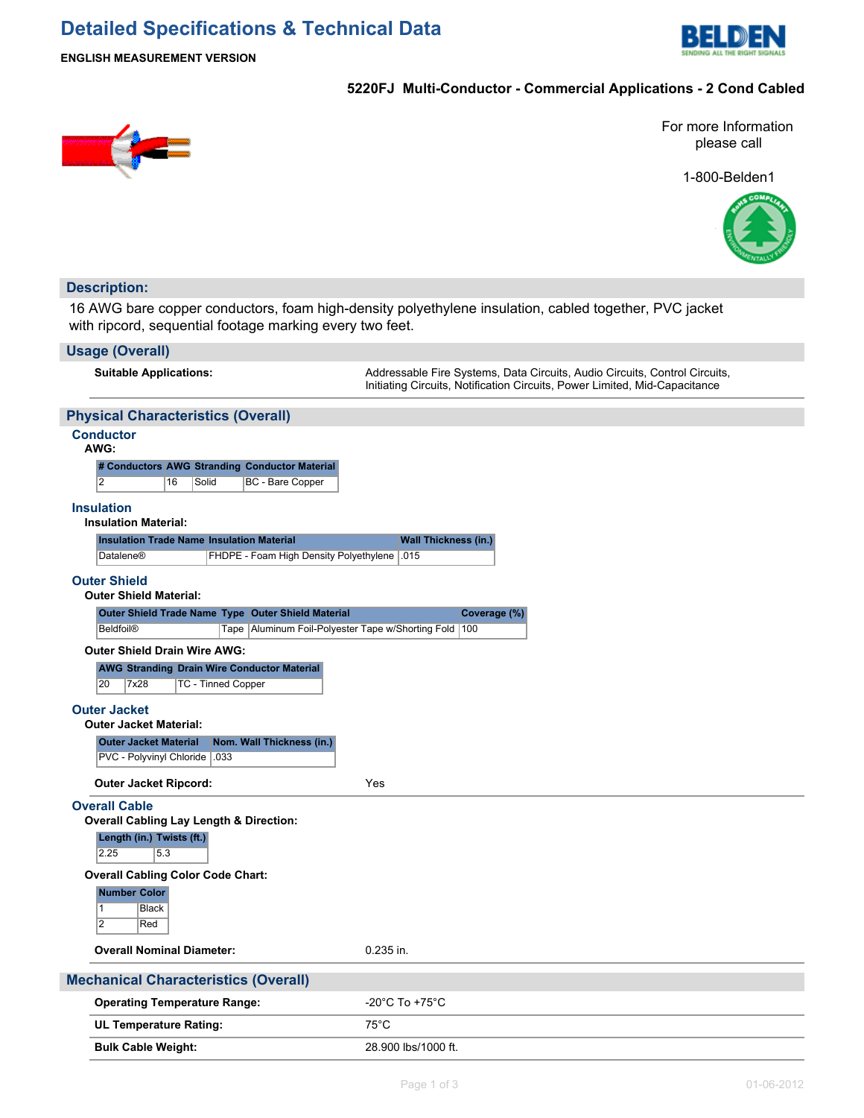# **Detailed Specifications & Technical Data**



**ENGLISH MEASUREMENT VERSION**

### **5220FJ Multi-Conductor - Commercial Applications - 2 Cond Cabled**



For more Information please call

1-800-Belden1



## **Description:**

16 AWG bare copper conductors, foam high-density polyethylene insulation, cabled together, PVC jacket with ripcord, sequential footage marking every two feet.

#### **Usage (Overall)**

**Suitable Applications:** Addressable Fire Systems, Data Circuits, Audio Circuits, Control Circuits, Initiating Circuits, Notification Circuits, Power Limited, Mid-Capacitance

## **Physical Characteristics (Overall)**

## **Conductor**

**AWG:**

**# Conductors AWG Stranding Conductor Material** 2 16 Solid BC - Bare Copper

#### **Insulation**

#### **Insulation Material:**

| <b>Insulation Trade Name Insulation Material</b> |                                                     | <b>Wall Thickness (in.)</b> |
|--------------------------------------------------|-----------------------------------------------------|-----------------------------|
| Datalene®                                        | <b>FHDPE - Foam High Density Polyethylene 1.015</b> |                             |

#### **Outer Shield**

**Outer Shield Material:**

| Outer Shield Trade Name Type Outer Shield Material |                                                       | Coverage (%) |
|----------------------------------------------------|-------------------------------------------------------|--------------|
| Beldfoil <sup>®</sup>                              | Tape Aluminum Foil-Polyester Tape w/Shorting Fold 100 |              |

#### **Outer Shield Drain Wire AWG:**

**AWG Stranding Drain Wire Conductor Material** 20 7x28 TC - Tinned Copper

#### **Outer Jacket**

| <b>Outer Jacket Material:</b> |  |
|-------------------------------|--|
|-------------------------------|--|

**Outer Jacket Material Nom. Wall Thickness (in.)**

PVC - Polyvinyl Chloride .033

**Outer Jacket Ripcord:** Yes

#### **Overall Cable**

**Overall Cabling Lay Length & Direction: Length (in.) Twists (ft.)**

 $2.25$  5.3

#### **Overall Cabling Color Code Chart:**

**Number Color**

**Black** 2 Red

#### **Overall Nominal Diameter:** 0.235 in.

# **Mechanical Characteristics (Overall)**

| <b>Operating Temperature Range:</b> | -20°C To +75°C      |
|-------------------------------------|---------------------|
| <b>UL Temperature Rating:</b>       | 75°C                |
| <b>Bulk Cable Weight:</b>           | 28,900 lbs/1000 ft. |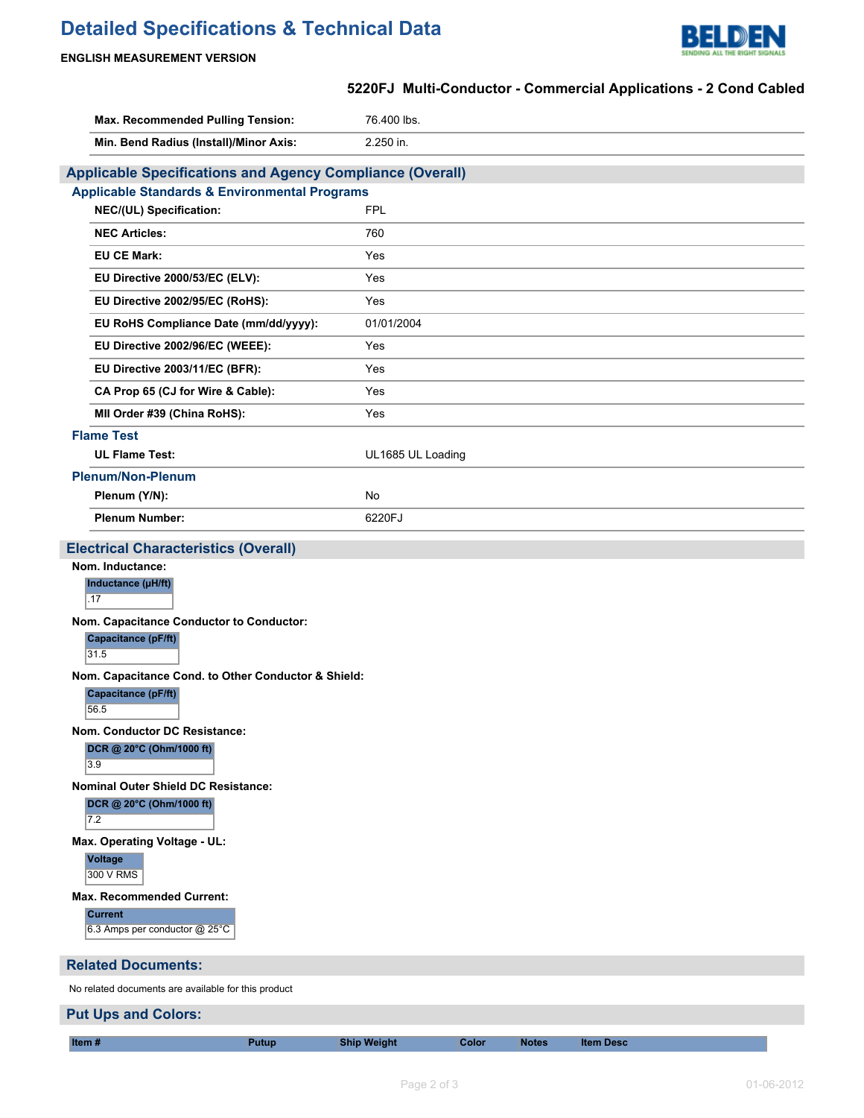# **Detailed Specifications & Technical Data**



## **ENGLISH MEASUREMENT VERSION**

# **5220FJ Multi-Conductor - Commercial Applications - 2 Cond Cabled**

| Max. Recommended Pulling Tension:                                | 76.400 lbs.         |  |  |
|------------------------------------------------------------------|---------------------|--|--|
| Min. Bend Radius (Install)/Minor Axis:                           | 2.250 in.           |  |  |
| <b>Applicable Specifications and Agency Compliance (Overall)</b> |                     |  |  |
| <b>Applicable Standards &amp; Environmental Programs</b>         |                     |  |  |
| NEC/(UL) Specification:                                          | <b>FPL</b>          |  |  |
| <b>NEC Articles:</b>                                             | 760                 |  |  |
| <b>EU CE Mark:</b>                                               | Yes                 |  |  |
| EU Directive 2000/53/EC (ELV):                                   | Yes                 |  |  |
| EU Directive 2002/95/EC (RoHS):                                  | Yes                 |  |  |
| EU RoHS Compliance Date (mm/dd/yyyy):                            | 01/01/2004          |  |  |
| EU Directive 2002/96/EC (WEEE):                                  | Yes                 |  |  |
| EU Directive 2003/11/EC (BFR):                                   | Yes                 |  |  |
| CA Prop 65 (CJ for Wire & Cable):                                | Yes                 |  |  |
| MII Order #39 (China RoHS):                                      | Yes                 |  |  |
| <b>Flame Test</b>                                                |                     |  |  |
| <b>UL Flame Test:</b>                                            | UL1685 UL Loading   |  |  |
| <b>Plenum/Non-Plenum</b>                                         |                     |  |  |
| Plenum (Y/N):                                                    | No                  |  |  |
| <b>Plenum Number:</b>                                            | 6220FJ              |  |  |
| <b>Electrical Characteristics (Overall)</b>                      |                     |  |  |
| Nom. Inductance:                                                 |                     |  |  |
| Inductance (µH/ft)<br>.17                                        |                     |  |  |
| Nom. Capacitance Conductor to Conductor:                         |                     |  |  |
| <b>Capacitance (pF/ft)</b><br>31.5                               |                     |  |  |
| Nom. Capacitance Cond. to Other Conductor & Shield:              |                     |  |  |
| 56.5                                                             | Capacitance (pF/ft) |  |  |
| <b>Nom. Conductor DC Resistance:</b>                             |                     |  |  |
| DCR @ 20°C (Ohm/1000 ft)<br>3.9                                  |                     |  |  |
| <b>Nominal Outer Shield DC Resistance:</b>                       |                     |  |  |
| DCR @ 20°C (Ohm/1000 ft)<br>7.2                                  |                     |  |  |
| Max. Operating Voltage - UL:                                     |                     |  |  |
| <b>Voltage</b><br>300 V RMS                                      |                     |  |  |
| <b>Max. Recommended Current:</b>                                 |                     |  |  |
| <b>Current</b><br>6.3 Amps per conductor @ 25°C                  |                     |  |  |
| <b>Related Documents:</b>                                        |                     |  |  |
| No related documents are available for this product              |                     |  |  |

# **Put Ups and Colors:**

**Item # Putup Ship Weight Color Notes Item Desc**